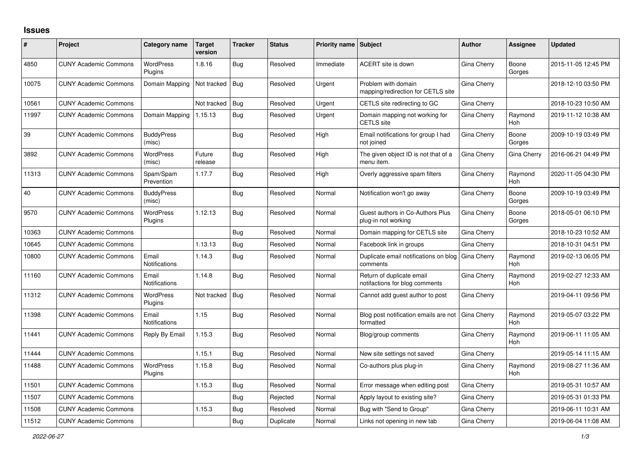## **Issues**

| #     | Project                      | Category name                 | <b>Target</b><br>version | <b>Tracker</b> | <b>Status</b> | <b>Priority name Subject</b> |                                                             | <b>Author</b> | Assignee              | <b>Updated</b>      |
|-------|------------------------------|-------------------------------|--------------------------|----------------|---------------|------------------------------|-------------------------------------------------------------|---------------|-----------------------|---------------------|
| 4850  | <b>CUNY Academic Commons</b> | WordPress<br>Plugins          | 1.8.16                   | Bug            | Resolved      | Immediate                    | ACERT site is down                                          | Gina Cherry   | Boone<br>Gorges       | 2015-11-05 12:45 PM |
| 10075 | <b>CUNY Academic Commons</b> | Domain Mapping                | Not tracked              | <b>Bug</b>     | Resolved      | Urgent                       | Problem with domain<br>mapping/redirection for CETLS site   | Gina Cherry   |                       | 2018-12-10 03:50 PM |
| 10561 | <b>CUNY Academic Commons</b> |                               | Not tracked              | Bug            | Resolved      | Urgent                       | CETLS site redirecting to GC                                | Gina Cherry   |                       | 2018-10-23 10:50 AM |
| 11997 | <b>CUNY Academic Commons</b> | Domain Mapping                | 1.15.13                  | <b>Bug</b>     | Resolved      | Urgent                       | Domain mapping not working for<br><b>CETLS</b> site         | Gina Cherry   | Raymond<br><b>Hoh</b> | 2019-11-12 10:38 AM |
| 39    | <b>CUNY Academic Commons</b> | <b>BuddyPress</b><br>(misc)   |                          | Bug            | Resolved      | High                         | Email notifications for group I had<br>not joined           | Gina Cherry   | Boone<br>Gorges       | 2009-10-19 03:49 PM |
| 3892  | <b>CUNY Academic Commons</b> | <b>WordPress</b><br>(misc)    | Future<br>release        | <b>Bug</b>     | Resolved      | High                         | The given object ID is not that of a<br>menu item.          | Gina Cherry   | Gina Cherry           | 2016-06-21 04:49 PM |
| 11313 | <b>CUNY Academic Commons</b> | Spam/Spam<br>Prevention       | 1.17.7                   | Bug            | Resolved      | High                         | Overly aggressive spam filters                              | Gina Cherry   | Raymond<br>Hoh        | 2020-11-05 04:30 PM |
| 40    | <b>CUNY Academic Commons</b> | <b>BuddyPress</b><br>(misc)   |                          | <b>Bug</b>     | Resolved      | Normal                       | Notification won't go away                                  | Gina Cherry   | Boone<br>Gorges       | 2009-10-19 03:49 PM |
| 9570  | <b>CUNY Academic Commons</b> | <b>WordPress</b><br>Plugins   | 1.12.13                  | <b>Bug</b>     | Resolved      | Normal                       | Guest authors in Co-Authors Plus<br>plug-in not working     | Gina Cherry   | Boone<br>Gorges       | 2018-05-01 06:10 PM |
| 10363 | <b>CUNY Academic Commons</b> |                               |                          | Bug            | Resolved      | Normal                       | Domain mapping for CETLS site                               | Gina Cherry   |                       | 2018-10-23 10:52 AM |
| 10645 | <b>CUNY Academic Commons</b> |                               | 1.13.13                  | Bug            | Resolved      | Normal                       | Facebook link in groups                                     | Gina Cherry   |                       | 2018-10-31 04:51 PM |
| 10800 | <b>CUNY Academic Commons</b> | Email<br><b>Notifications</b> | 1.14.3                   | <b>Bug</b>     | Resolved      | Normal                       | Duplicate email notifications on blog<br>comments           | Gina Cherry   | Raymond<br><b>Hoh</b> | 2019-02-13 06:05 PM |
| 11160 | <b>CUNY Academic Commons</b> | Email<br>Notifications        | 1.14.8                   | <b>Bug</b>     | Resolved      | Normal                       | Return of duplicate email<br>notifactions for blog comments | Gina Cherry   | Raymond<br>Hoh        | 2019-02-27 12:33 AM |
| 11312 | <b>CUNY Academic Commons</b> | <b>WordPress</b><br>Plugins   | Not tracked              | <b>Bug</b>     | Resolved      | Normal                       | Cannot add guest author to post                             | Gina Cherry   |                       | 2019-04-11 09:56 PM |
| 11398 | <b>CUNY Academic Commons</b> | Email<br>Notifications        | 1.15                     | <b>Bug</b>     | Resolved      | Normal                       | Blog post notification emails are not<br>formatted          | Gina Cherry   | Raymond<br><b>Hoh</b> | 2019-05-07 03:22 PM |
| 11441 | <b>CUNY Academic Commons</b> | Reply By Email                | 1.15.3                   | <b>Bug</b>     | Resolved      | Normal                       | Blog/group comments                                         | Gina Cherry   | Raymond<br><b>Hoh</b> | 2019-06-11 11:05 AM |
| 11444 | <b>CUNY Academic Commons</b> |                               | 1.15.1                   | Bug            | Resolved      | Normal                       | New site settings not saved                                 | Gina Cherry   |                       | 2019-05-14 11:15 AM |
| 11488 | <b>CUNY Academic Commons</b> | <b>WordPress</b><br>Plugins   | 1.15.8                   | <b>Bug</b>     | Resolved      | Normal                       | Co-authors plus plug-in                                     | Gina Cherry   | Raymond<br>Hoh        | 2019-08-27 11:36 AM |
| 11501 | <b>CUNY Academic Commons</b> |                               | 1.15.3                   | Bug            | Resolved      | Normal                       | Error message when editing post                             | Gina Cherry   |                       | 2019-05-31 10:57 AM |
| 11507 | <b>CUNY Academic Commons</b> |                               |                          | Bug            | Rejected      | Normal                       | Apply layout to existing site?                              | Gina Cherry   |                       | 2019-05-31 01:33 PM |
| 11508 | <b>CUNY Academic Commons</b> |                               | 1.15.3                   | <b>Bug</b>     | Resolved      | Normal                       | Bug with "Send to Group"                                    | Gina Cherry   |                       | 2019-06-11 10:31 AM |
| 11512 | <b>CUNY Academic Commons</b> |                               |                          | <b>Bug</b>     | Duplicate     | Normal                       | Links not opening in new tab                                | Gina Cherry   |                       | 2019-06-04 11:08 AM |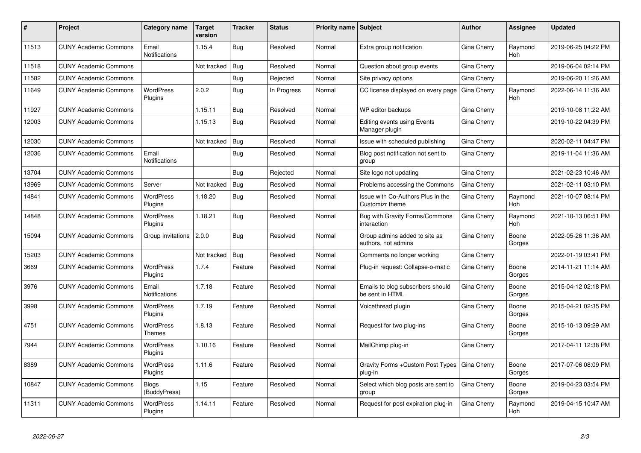| #     | Project                      | Category name                     | <b>Target</b><br>version | <b>Tracker</b> | <b>Status</b> | <b>Priority name Subject</b> |                                                             | <b>Author</b>      | Assignee              | <b>Updated</b>      |
|-------|------------------------------|-----------------------------------|--------------------------|----------------|---------------|------------------------------|-------------------------------------------------------------|--------------------|-----------------------|---------------------|
| 11513 | <b>CUNY Academic Commons</b> | Email<br><b>Notifications</b>     | 1.15.4                   | Bug            | Resolved      | Normal                       | Extra group notification                                    | Gina Cherry        | Raymond<br>Hoh        | 2019-06-25 04:22 PM |
| 11518 | <b>CUNY Academic Commons</b> |                                   | Not tracked              | <b>Bug</b>     | Resolved      | Normal                       | Question about group events                                 | Gina Cherry        |                       | 2019-06-04 02:14 PM |
| 11582 | <b>CUNY Academic Commons</b> |                                   |                          | Bug            | Rejected      | Normal                       | Site privacy options                                        | Gina Cherry        |                       | 2019-06-20 11:26 AM |
| 11649 | <b>CUNY Academic Commons</b> | WordPress<br>Plugins              | 2.0.2                    | <b>Bug</b>     | In Progress   | Normal                       | CC license displayed on every page                          | Gina Cherry        | Raymond<br>Hoh        | 2022-06-14 11:36 AM |
| 11927 | <b>CUNY Academic Commons</b> |                                   | 1.15.11                  | Bug            | Resolved      | Normal                       | WP editor backups                                           | Gina Cherry        |                       | 2019-10-08 11:22 AM |
| 12003 | <b>CUNY Academic Commons</b> |                                   | 1.15.13                  | Bug            | Resolved      | Normal                       | <b>Editing events using Events</b><br>Manager plugin        | Gina Cherry        |                       | 2019-10-22 04:39 PM |
| 12030 | <b>CUNY Academic Commons</b> |                                   | Not tracked              | Bug            | Resolved      | Normal                       | Issue with scheduled publishing                             | Gina Cherry        |                       | 2020-02-11 04:47 PM |
| 12036 | <b>CUNY Academic Commons</b> | Email<br>Notifications            |                          | <b>Bug</b>     | Resolved      | Normal                       | Blog post notification not sent to<br>group                 | Gina Cherry        |                       | 2019-11-04 11:36 AM |
| 13704 | <b>CUNY Academic Commons</b> |                                   |                          | <b>Bug</b>     | Rejected      | Normal                       | Site logo not updating                                      | Gina Cherry        |                       | 2021-02-23 10:46 AM |
| 13969 | <b>CUNY Academic Commons</b> | Server                            | Not tracked              | Bug            | Resolved      | Normal                       | Problems accessing the Commons                              | Gina Cherry        |                       | 2021-02-11 03:10 PM |
| 14841 | <b>CUNY Academic Commons</b> | WordPress<br>Plugins              | 1.18.20                  | Bug            | Resolved      | Normal                       | Issue with Co-Authors Plus in the<br><b>Customizr theme</b> | Gina Cherry        | Raymond<br><b>Hoh</b> | 2021-10-07 08:14 PM |
| 14848 | <b>CUNY Academic Commons</b> | WordPress<br>Plugins              | 1.18.21                  | <b>Bug</b>     | Resolved      | Normal                       | Bug with Gravity Forms/Commons<br>interaction               | Gina Cherry        | Raymond<br><b>Hoh</b> | 2021-10-13 06:51 PM |
| 15094 | <b>CUNY Academic Commons</b> | Group Invitations                 | 2.0.0                    | Bug            | Resolved      | Normal                       | Group admins added to site as<br>authors, not admins        | Gina Cherry        | Boone<br>Gorges       | 2022-05-26 11:36 AM |
| 15203 | <b>CUNY Academic Commons</b> |                                   | Not tracked              | <b>Bug</b>     | Resolved      | Normal                       | Comments no longer working                                  | Gina Cherry        |                       | 2022-01-19 03:41 PM |
| 3669  | <b>CUNY Academic Commons</b> | <b>WordPress</b><br>Plugins       | 1.7.4                    | Feature        | Resolved      | Normal                       | Plug-in request: Collapse-o-matic                           | Gina Cherry        | Boone<br>Gorges       | 2014-11-21 11:14 AM |
| 3976  | <b>CUNY Academic Commons</b> | Email<br><b>Notifications</b>     | 1.7.18                   | Feature        | Resolved      | Normal                       | Emails to blog subscribers should<br>be sent in HTML        | Gina Cherry        | Boone<br>Gorges       | 2015-04-12 02:18 PM |
| 3998  | <b>CUNY Academic Commons</b> | <b>WordPress</b><br>Plugins       | 1.7.19                   | Feature        | Resolved      | Normal                       | Voicethread plugin                                          | Gina Cherry        | Boone<br>Gorges       | 2015-04-21 02:35 PM |
| 4751  | <b>CUNY Academic Commons</b> | <b>WordPress</b><br><b>Themes</b> | 1.8.13                   | Feature        | Resolved      | Normal                       | Request for two plug-ins                                    | Gina Cherry        | Boone<br>Gorges       | 2015-10-13 09:29 AM |
| 7944  | <b>CUNY Academic Commons</b> | WordPress<br>Plugins              | 1.10.16                  | Feature        | Resolved      | Normal                       | MailChimp plug-in                                           | Gina Cherry        |                       | 2017-04-11 12:38 PM |
| 8389  | <b>CUNY Academic Commons</b> | <b>WordPress</b><br>Plugins       | 1.11.6                   | Feature        | Resolved      | Normal                       | Gravity Forms + Custom Post Types<br>plug-in                | <b>Gina Cherry</b> | Boone<br>Gorges       | 2017-07-06 08:09 PM |
| 10847 | <b>CUNY Academic Commons</b> | <b>Blogs</b><br>(BuddyPress)      | 1.15                     | Feature        | Resolved      | Normal                       | Select which blog posts are sent to<br>group                | Gina Cherry        | Boone<br>Gorges       | 2019-04-23 03:54 PM |
| 11311 | <b>CUNY Academic Commons</b> | <b>WordPress</b><br>Plugins       | 1.14.11                  | Feature        | Resolved      | Normal                       | Request for post expiration plug-in                         | Gina Cherry        | Raymond<br>Hoh        | 2019-04-15 10:47 AM |